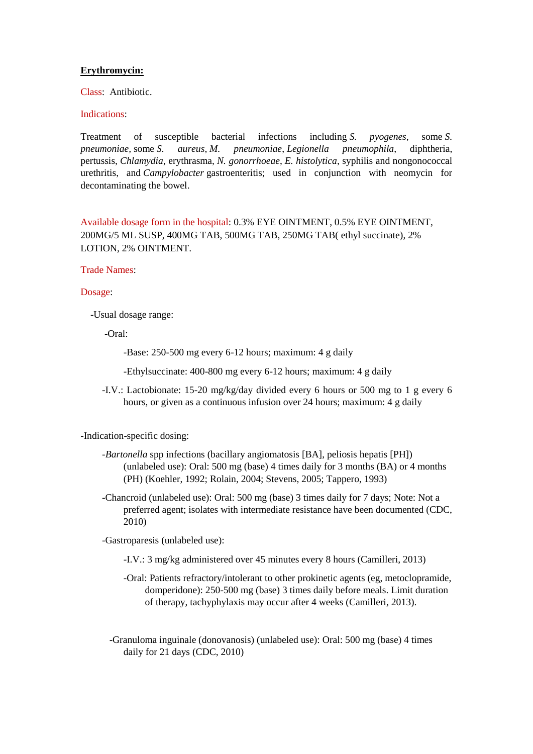#### **Erythromycin:**

Class: Antibiotic.

## Indications:

Treatment of susceptible bacterial infections including *S. pyogenes*, some *S. pneumoniae,* some *S. aureus*, *M. pneumoniae*, *Legionella pneumophila*, diphtheria, pertussis, *Chlamydia*, erythrasma, *N. gonorrhoeae*, *E. histolytica*, syphilis and nongonococcal urethritis, and *Campylobacter* gastroenteritis; used in conjunction with neomycin for decontaminating the bowel.

Available dosage form in the hospital: 0.3% EYE OINTMENT, 0.5% EYE OINTMENT, 200MG/5 ML SUSP, 400MG TAB, 500MG TAB, 250MG TAB( ethyl succinate), 2% LOTION, 2% OINTMENT.

## Trade Names:

#### Dosage:

-Usual dosage range:

-Oral:

- -Base: 250-500 mg every 6-12 hours; maximum: 4 g daily
- -Ethylsuccinate: 400-800 mg every 6-12 hours; maximum: 4 g daily
- -I.V.: Lactobionate: 15-20 mg/kg/day divided every 6 hours or 500 mg to 1 g every 6 hours, or given as a continuous infusion over 24 hours; maximum: 4 g daily

-Indication-specific dosing:

- *-Bartonella* spp infections (bacillary angiomatosis [BA], peliosis hepatis [PH]) (unlabeled use): Oral: 500 mg (base) 4 times daily for 3 months (BA) or 4 months (PH) (Koehler, 1992; Rolain, 2004; Stevens, 2005; Tappero, 1993)
- -Chancroid (unlabeled use): Oral: 500 mg (base) 3 times daily for 7 days; Note: Not a preferred agent; isolates with intermediate resistance have been documented (CDC, 2010)

-Gastroparesis (unlabeled use):

- -I.V.: 3 mg/kg administered over 45 minutes every 8 hours (Camilleri, 2013)
- -Oral: Patients refractory/intolerant to other prokinetic agents (eg, metoclopramide, domperidone): 250-500 mg (base) 3 times daily before meals. Limit duration of therapy, tachyphylaxis may occur after 4 weeks (Camilleri, 2013).
- -Granuloma inguinale (donovanosis) (unlabeled use): Oral: 500 mg (base) 4 times daily for 21 days (CDC, 2010)